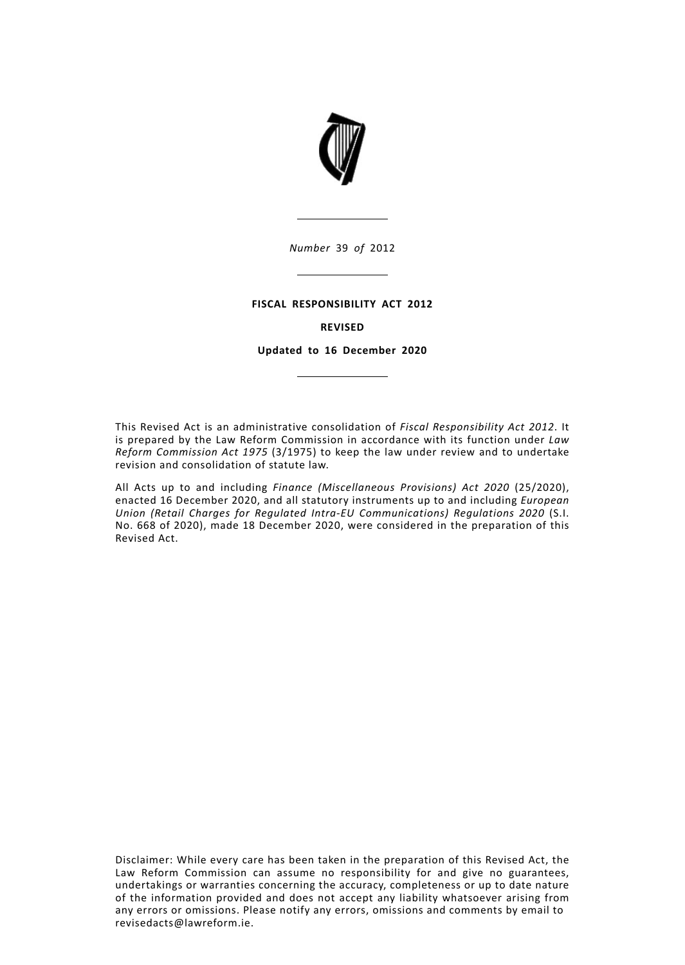

*Number* 39 *of* 2012

## **FISCAL RESPONSIBILITY ACT 2012**

## **REVISED**

**Updated to 16 December 2020**

This Revised Act is an administrative consolidation of *Fiscal Responsibility Act 2012*. It is prepared by the Law Reform Commission in accordance with its function under *Law Reform Commission Act 1975* (3/1975) to keep the law under review and to undertake revision and consolidation of statute law.

All Acts up to and including *Finance (Miscellaneous Provisions) Act 2020* (25/2020), enacted 16 December 2020, and all statutory instruments up to and including *European Union (Retail Charges for Regulated Intra-EU Communications) Regulations 2020* (S.I. No. 668 of 2020), made 18 December 2020, were considered in the preparation of this Revised Act.

Disclaimer: While every care has been taken in the preparation of this Revised Act, the Law Reform Commission can assume no responsibility for and give no guarantees, undertakings or warranties concerning the accuracy, completeness or up to date nature of the information provided and does not accept any liability whatsoever arising from any errors or omissions. Please notify any errors, omissions and comments by email to revisedacts@lawreform.ie.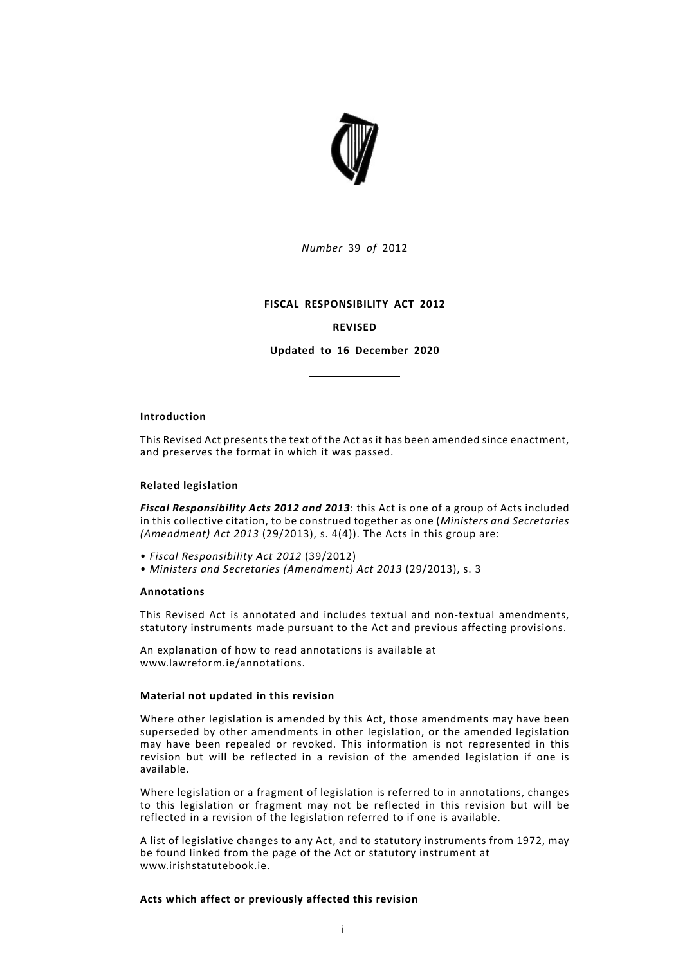

*Number* 39 *of* 2012

## **FISCAL RESPONSIBILITY ACT 2012**

# **REVISED**

**Updated to 16 December 2020**

## **Introduction**

This Revised Act presents the text of the Act as it has been amended since enactment, and preserves the format in which it was passed.

## **Related legislation**

*Fiscal Responsibility Acts 2012 and 2013*: this Act is one of a group of Acts included in this collective citation, to be construed together as one (*Ministers and Secretaries (Amendment) Act 2013* (29/2013), s. 4(4)). The Acts in this group are:

- *Fiscal Responsibility Act 2012* (39/2012)
- *Ministers and Secretaries (Amendment) Act 2013* (29/2013), s. 3

## **Annotations**

This Revised Act is annotated and includes textual and non-textual amendments, statutory instruments made pursuant to the Act and previous affecting provisions.

An explanation of how to read annotations is available at www.lawreform.ie/annotations.

## **Material not updated in this revision**

Where other legislation is amended by this Act, those amendments may have been superseded by other amendments in other legislation, or the amended legislation may have been repealed or revoked. This information is not represented in this revision but will be reflected in a revision of the amended legislation if one is available.

Where legislation or a fragment of legislation is referred to in annotations, changes to this legislation or fragment may not be reflected in this revision but will be reflected in a revision of the legislation referred to if one is available.

A list of legislative changes to any Act, and to statutory instruments from 1972, may be found linked from the page of the Act or statutory instrument at www.irishstatutebook.ie.

## **Acts which affect or previously affected this revision**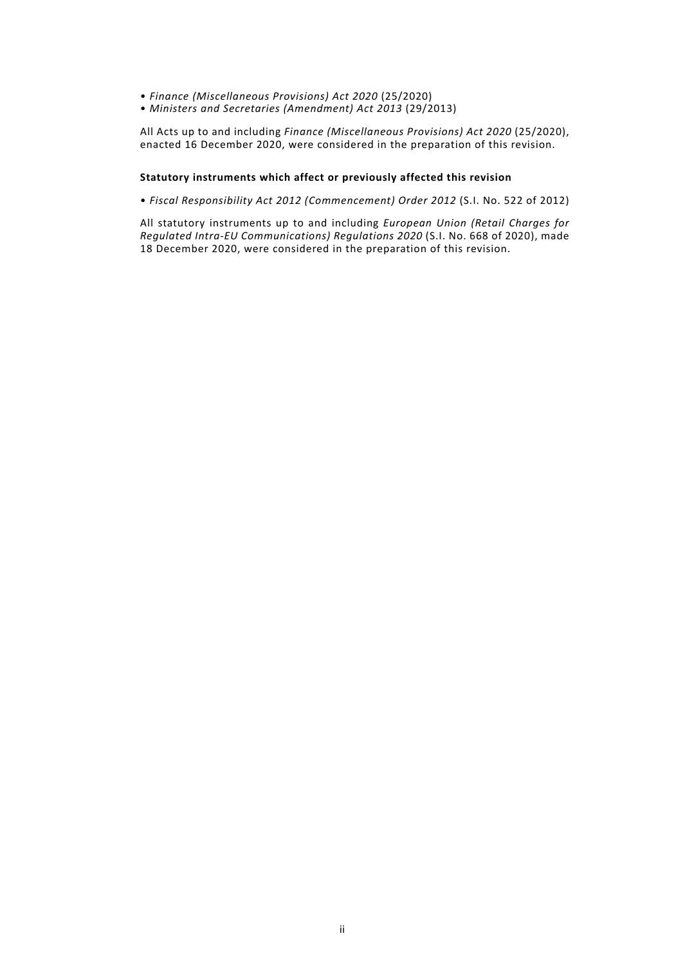- *Finance (Miscellaneous Provisions) Act 2020* (25/2020)
- *Ministers and Secretaries (Amendment) Act 2013* (29/2013)

All Acts up to and including *Finance (Miscellaneous Provisions) Act 2020* (25/2020), enacted 16 December 2020, were considered in the preparation of this revision.

## **Statutory instruments which affect or previously affected this revision**

• *Fiscal Responsibility Act 2012 (Commencement) Order 2012* (S.I. No. 522 of 2012)

All statutory instruments up to and including *European Union (Retail Charges for Regulated Intra-EU Communications) Regulations 2020* (S.I. No. 668 of 2020), made 18 December 2020, were considered in the preparation of this revision.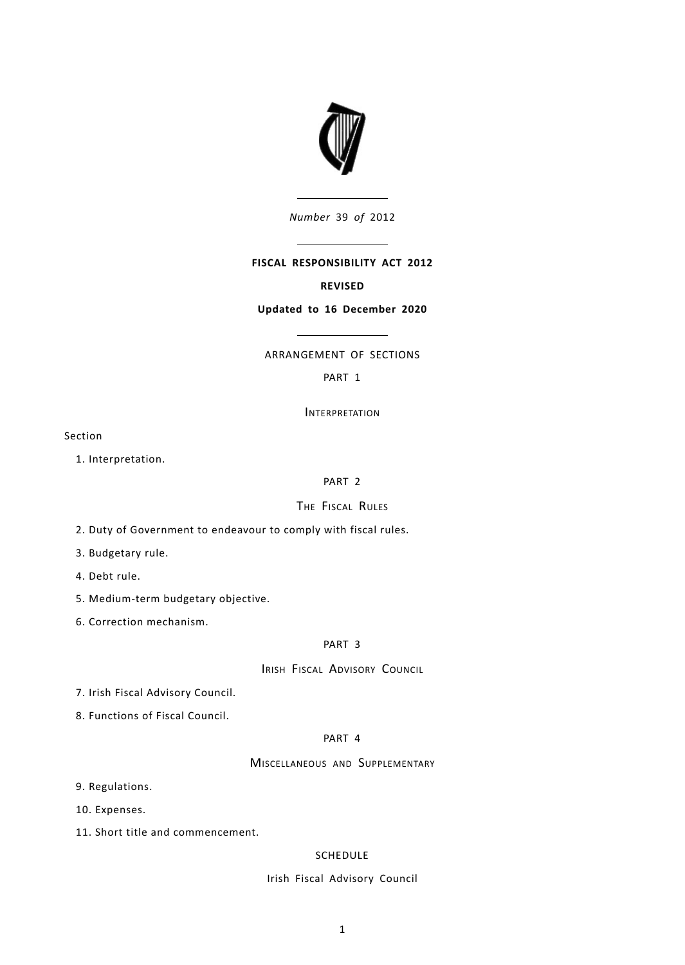

*Number* 39 *of* 2012

# **FISCAL RESPONSIBILITY ACT 2012**

## **REVISED**

## **Updated to 16 December 2020**

# ARRANGEMENT OF SECTIONS

# [PART](#page-6-0) 1

**INTERPRETATION** 

Section

1. [Interpretation.](#page-6-1)

# [PART](#page-8-0) 2

# THE FISCAL RULES

2. Duty of [Government](#page-8-1) to endeavour to comply with fiscal rules.

3. [Budgetary](#page-8-2) rule.

4. [Debt](#page-9-0) rule.

5. [Medium-term](#page-9-1) budgetary objective.

6. Correction [mechanism.](#page-9-2)

## [PART](#page-10-0) 3

IRISH FISCAL ADVISORY COUNCIL

7. Irish Fiscal [Advisory](#page-10-1) Council.

8. [Functions](#page-10-2) of Fiscal Council.

## [PART](#page-11-0) 4

# MISCELLANEOUS AND SUPPLEMENTARY

9. [Regulations.](#page-11-1)

10. [Expenses.](#page-11-2)

11. Short title and [commencement.](#page-11-3)

## [SCHEDULE](#page-12-0)

## Irish Fiscal Advisory Council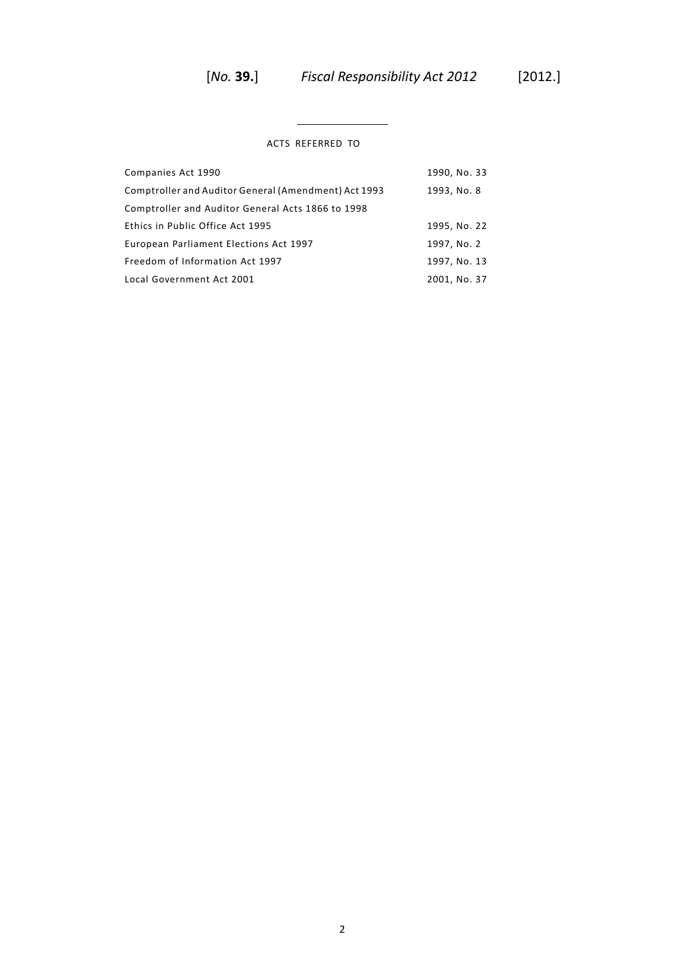$\overline{\phantom{0}}$ 

# ACTS REFERRED TO

 $\overline{a}$ 

| Companies Act 1990                                   | 1990, No. 33 |
|------------------------------------------------------|--------------|
| Comptroller and Auditor General (Amendment) Act 1993 | 1993, No. 8  |
| Comptroller and Auditor General Acts 1866 to 1998    |              |
| Ethics in Public Office Act 1995                     | 1995, No. 22 |
| European Parliament Elections Act 1997               | 1997, No. 2  |
| Freedom of Information Act 1997                      | 1997, No. 13 |
| Local Government Act 2001                            | 2001, No. 37 |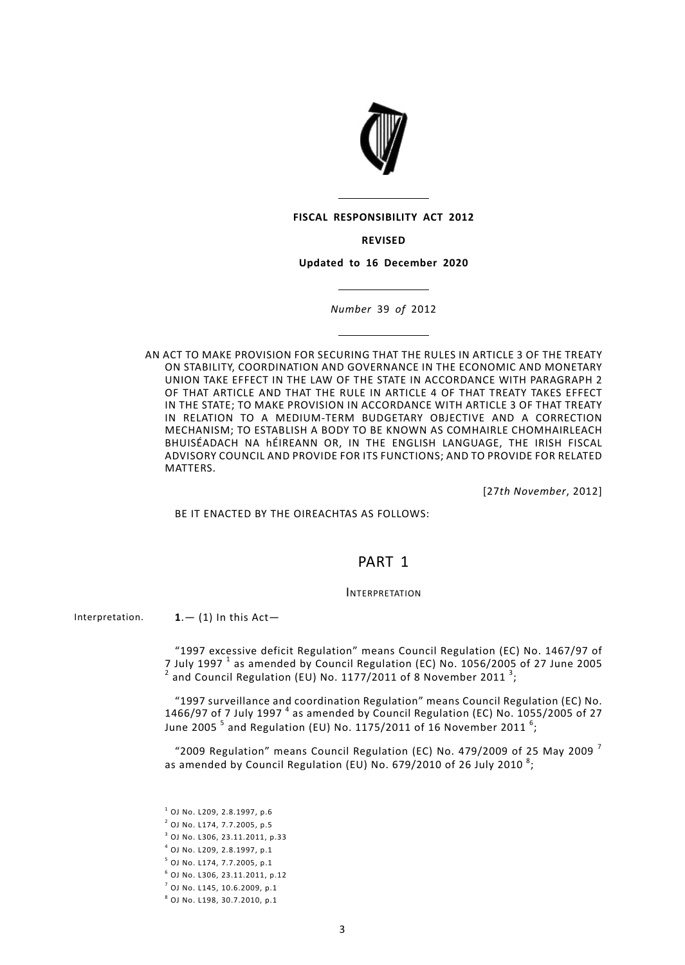

#### **FISCAL RESPONSIBILITY ACT 2012**

**REVISED**

**Updated to 16 December 2020**

*Number* 39 *of* 2012

AN ACT TO MAKE PROVISION FOR SECURING THAT THE RULES IN ARTICLE 3 OF THE TREATY ON STABILITY, COORDINATION AND GOVERNANCE IN THE ECONOMIC AND MONETARY UNION TAKE EFFECT IN THE LAW OF THE STATE IN ACCORDANCE WITH PARAGRAPH 2 OF THAT ARTICLE AND THAT THE RULE IN ARTICLE 4 OF THAT TREATY TAKES EFFECT IN THE STATE; TO MAKE PROVISION IN ACCORDANCE WITH ARTICLE 3 OF THAT TREATY IN RELATION TO A MEDIUM-TERM BUDGETARY OBJECTIVE AND A CORRECTION MECHANISM; TO ESTABLISH A BODY TO BE KNOWN AS COMHAIRLE CHOMHAIRLEACH BHUISÉADACH NA hÉIREANN OR, IN THE ENGLISH LANGUAGE, THE IRISH FISCAL ADVISORY COUNCIL AND PROVIDE FOR ITS FUNCTIONS; AND TO PROVIDE FOR RELATED **MATTERS** 

[27*th November*, 2012]

<span id="page-6-1"></span><span id="page-6-0"></span>BE IT ENACTED BY THE OIREACHTAS AS FOLLOWS:

# PART 1

## **INTERPRETATION**

Interpretation.  $1 - (1)$  In this Act-

"1997 excessive deficit Regulation" means Council Regulation (EC) No. 1467/97 of 7 July 1997  $^1$  as amended by Council Regulation (EC) No. 1056/2005 of 27 June 2005  $^2$  and Council Regulation (EU) No. 1177/2011 of 8 November 2011  $^3$ ;

"1997 surveillance and coordination Regulation" means Council Regulation (EC) No. 1466/97 of 7 July 1997<sup>4</sup> as amended by Council Regulation (EC) No. 1055/2005 of 27 June 2005  $^5$  and Regulation (EU) No. 1175/2011 of 16 November 2011  $^6\!$ 

"2009 Regulation" means Council Regulation (EC) No. 479/2009 of 25 May 2009<sup>7</sup> as amended by Council Regulation (EU) No. 679/2010 of 26 July 2010  $^{\rm 8}$ ;

 $^1$  OJ No. L209, 2.8.1997, p.6 OJ No. L174, 7.7.2005, p.5 OJ No. L306, 23.11.2011, p.33 OJ No. L209, 2.8.1997, p.1 OJ No. L174, 7.7.2005, p.1 OJ No. L306, 23.11.2011, p.12 OJ No. L145, 10.6.2009, p.1 OJ No. L198, 30.7.2010, p.1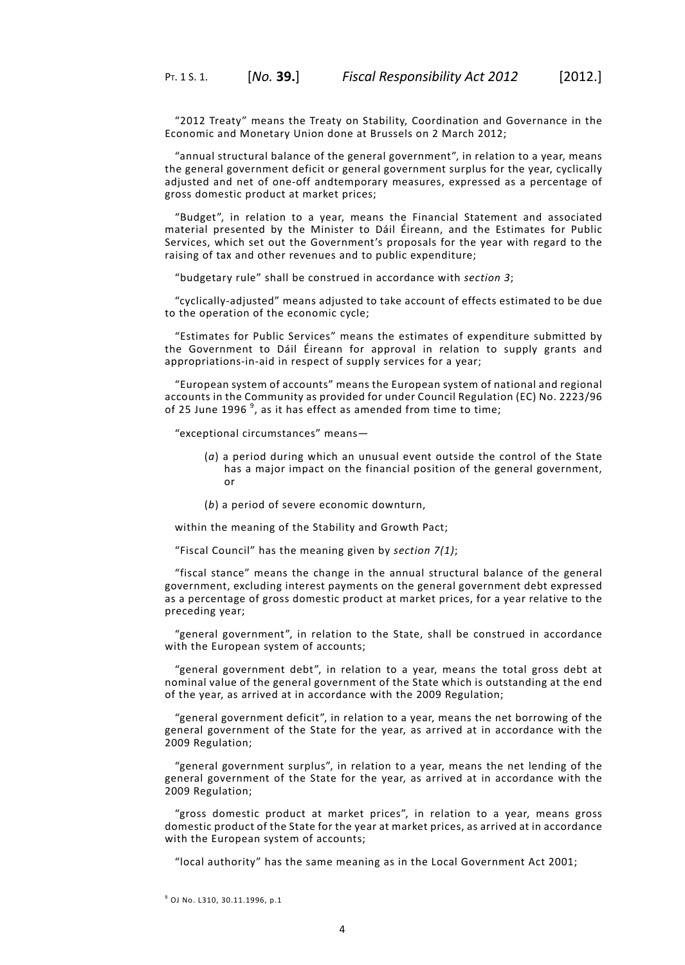"2012 Treaty" means the Treaty on Stability, Coordination and Governance in the Economic and Monetary Union done at Brussels on 2 March 2012;

"annual structural balance of the general government", in relation to a year, means the general government deficit or general government surplus for the year, cyclically adjusted and net of one-off andtemporary measures, expressed as a percentage of gross domestic product at market prices;

"Budget", in relation to a year, means the Financial Statement and associated material presented by the Minister to Dáil Éireann, and the Estimates for Public Services, which set out the Government's proposals for the year with regard to the raising of tax and other revenues and to public expenditure;

"budgetary rule" shall be construed in accordance with *section 3*;

"cyclically-adjusted" means adjusted to take account of effects estimated to be due to the operation of the economic cycle;

"Estimates for Public Services" means the estimates of expenditure submitted by the Government to Dáil Éireann for approval in relation to supply grants and appropriations-in-aid in respect of supply services for a year;

"European system of accounts" means the European system of national and regional accounts in the Community as provided for under Council Regulation (EC) No. 2223/96 of 25 June 1996  $^9$ , as it has effect as amended from time to time;

"exceptional circumstances" means—

- (*a*) a period during which an unusual event outside the control of the State has a major impact on the financial position of the general government, or
- (*b*) a period of severe economic downturn,

within the meaning of the Stability and Growth Pact;

"Fiscal Council" has the meaning given by *[section](#page-10-1) 7(1)*;

"fiscal stance" means the change in the annual structural balance of the general government, excluding interest payments on the general government debt expressed as a percentage of gross domestic product at market prices, for a year relative to the preceding year;

"general government", in relation to the State, shall be construed in accordance with the European system of accounts;

"general government debt", in relation to a year, means the total gross debt at nominal value of the general government of the State which is outstanding at the end of the year, as arrived at in accordance with the 2009 Regulation;

"general government deficit", in relation to a year, means the net borrowing of the general government of the State for the year, as arrived at in accordance with the 2009 Regulation;

"general government surplus", in relation to a year, means the net lending of the general government of the State for the year, as arrived at in accordance with the 2009 Regulation;

"gross domestic product at market prices", in relation to a year, means gross domestic product of the State for the year at market prices, as arrived at in accordance with the European system of accounts;

"local authority" has the same meaning as in the Local Government Act 2001;

<sup>9</sup> OJ No. L310, 30.11.1996, p.1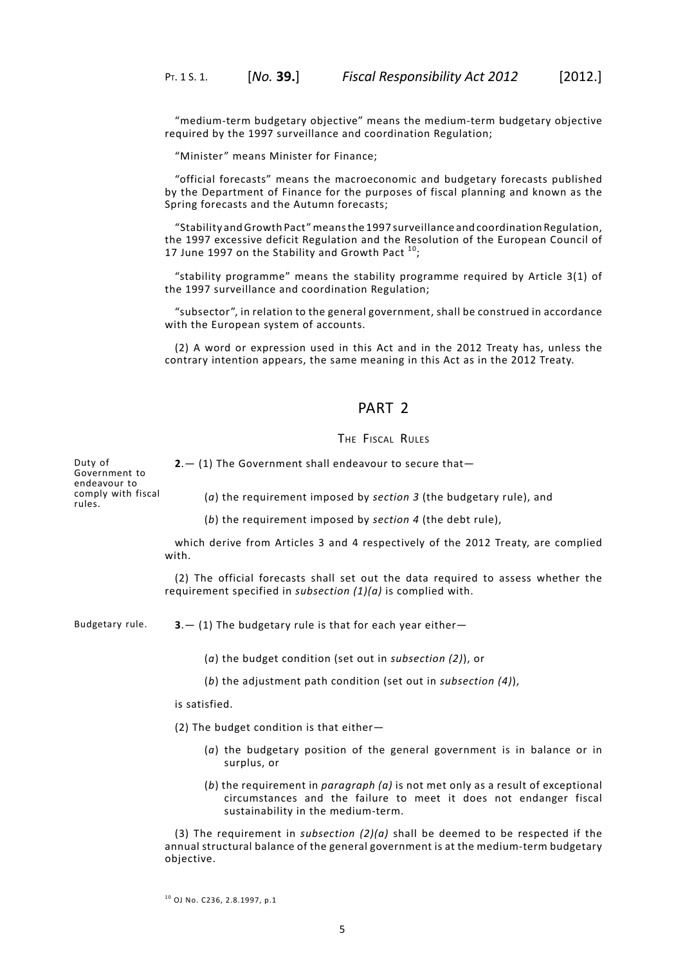"medium-term budgetary objective" means the medium-term budgetary objective required by the 1997 surveillance and coordination Regulation;

"Minister" means Minister for Finance;

"official forecasts" means the macroeconomic and budgetary forecasts published by the Department of Finance for the purposes of fiscal planning and known as the Spring forecasts and the Autumn forecasts;

"Stability andGrowth Pact"meansthe 1997 surveillance and coordination Regulation, the 1997 excessive deficit Regulation and the Resolution of the European Council of 17 June 1997 on the Stability and Growth Pact  $^{10}$ ;

"stability programme" means the stability programme required by Article 3(1) of the 1997 surveillance and coordination Regulation;

"subsector", in relation to the general government, shall be construed in accordance with the European system of accounts.

<span id="page-8-0"></span>(2) A word or expression used in this Act and in the 2012 Treaty has, unless the contrary intention appears, the same meaning in this Act as in the 2012 Treaty.

# PART 2

# THE FISCAL RULES

Duty of Government to endeavour to comply with fiscal

<span id="page-8-1"></span>**2**.— (1) The Government shall endeavour to secure that—

(*a*) the requirement imposed by *[section](#page-8-2) 3* (the budgetary rule), and

(*b*) the requirement imposed by *[section](#page-9-0) 4* (the debt rule),

which derive from Articles 3 and 4 respectively of the 2012 Treaty, are complied with.

<span id="page-8-2"></span>(2) The official forecasts shall set out the data required to assess whether the requirement specified in *subsection (1)(a)* is complied with.

rules.

Budgetary rule.  $3 - (1)$  The budgetary rule is that for each year either-

(*a*) the budget condition (set out in *subsection (2)*), or

(*b*) the adjustment path condition (set out in *subsection (4)*),

is satisfied.

(2) The budget condition is that either—

- (*a*) the budgetary position of the general government is in balance or in surplus, or
- (*b*) the requirement in *paragraph (a)* is not met only as a result of exceptional circumstances and the failure to meet it does not endanger fiscal sustainability in the medium-term.

(3) The requirement in *subsection (2)(a)* shall be deemed to be respected if the annual structural balance of the general government is at the medium-term budgetary objective.

 $^{10}$  OJ No. C236, 2.8.1997, p.1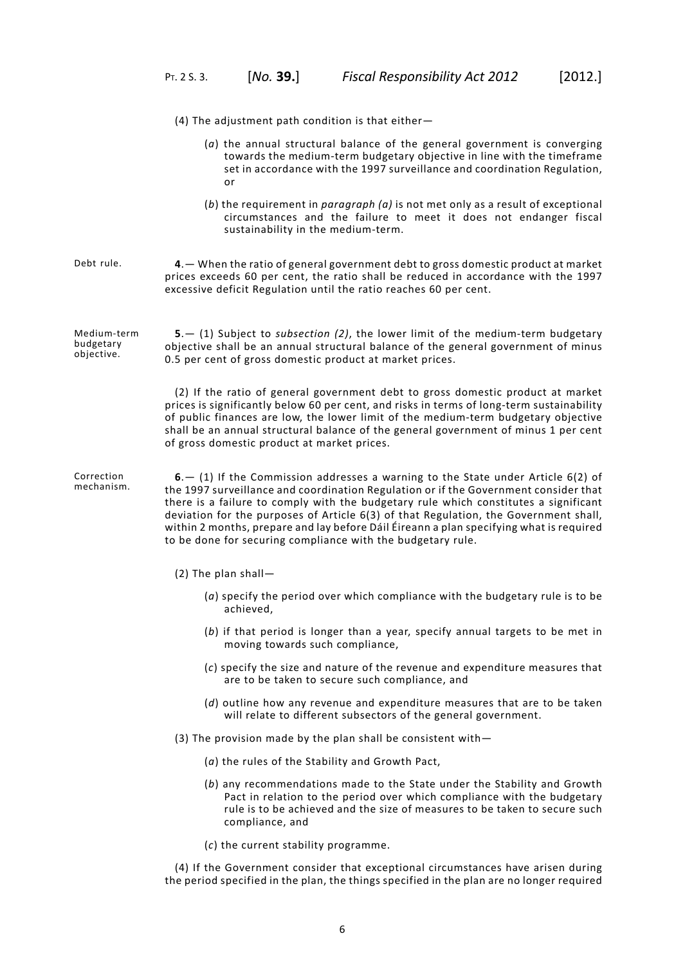- (4) The adjustment path condition is that either—
	- (*a*) the annual structural balance of the general government is converging towards the medium-term budgetary objective in line with the timeframe set in accordance with the 1997 surveillance and coordination Regulation, or
	- (*b*) the requirement in *paragraph (a)* is not met only as a result of exceptional circumstances and the failure to meet it does not endanger fiscal sustainability in the medium-term.
- <span id="page-9-0"></span>Debt rule. **4**.— When the ratio of general government debt to gross domestic product at market prices exceeds 60 per cent, the ratio shall be reduced in accordance with the 1997 excessive deficit Regulation until the ratio reaches 60 per cent.

<span id="page-9-1"></span>Medium-term budgetary objective. **5**.— (1) Subject to *subsection (2)*, the lower limit of the medium-term budgetary objective shall be an annual structural balance of the general government of minus 0.5 per cent of gross domestic product at market prices.

> <span id="page-9-2"></span>(2) If the ratio of general government debt to gross domestic product at market prices is significantly below 60 per cent, and risks in terms of long-term sustainability of public finances are low, the lower limit of the medium-term budgetary objective shall be an annual structural balance of the general government of minus 1 per cent of gross domestic product at market prices.

Correction mechanism. **6**.— (1) If the Commission addresses a warning to the State under Article 6(2) of the 1997 surveillance and coordination Regulation or if the Government consider that there is a failure to comply with the budgetary rule which constitutes a significant deviation for the purposes of Article 6(3) of that Regulation, the Government shall, within 2 months, prepare and lay before Dáil Éireann a plan specifying what is required to be done for securing compliance with the budgetary rule.

- (2) The plan shall—
	- (*a*) specify the period over which compliance with the budgetary rule is to be achieved,
	- (*b*) if that period is longer than a year, specify annual targets to be met in moving towards such compliance,
	- (*c*) specify the size and nature of the revenue and expenditure measures that are to be taken to secure such compliance, and
	- (*d*) outline how any revenue and expenditure measures that are to be taken will relate to different subsectors of the general government.
- (3) The provision made by the plan shall be consistent with—
	- (*a*) the rules of the Stability and Growth Pact,
	- (*b*) any recommendations made to the State under the Stability and Growth Pact in relation to the period over which compliance with the budgetary rule is to be achieved and the size of measures to be taken to secure such compliance, and
	- (*c*) the current stability programme.

(4) If the Government consider that exceptional circumstances have arisen during the period specified in the plan, the things specified in the plan are no longer required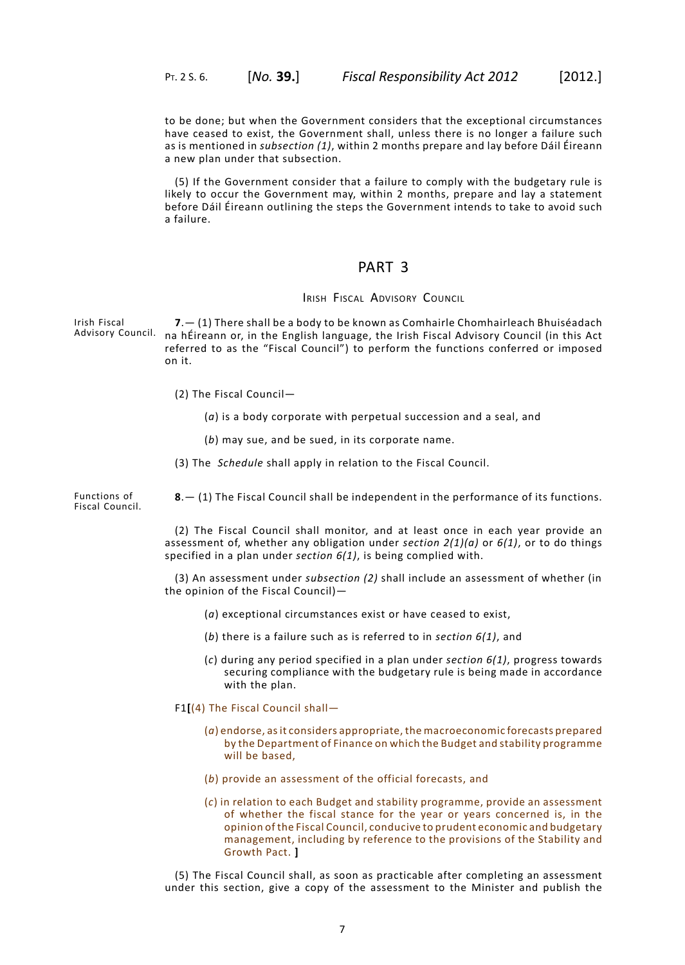to be done; but when the Government considers that the exceptional circumstances have ceased to exist, the Government shall, unless there is no longer a failure such as is mentioned in *subsection (1)*, within 2 months prepare and lay before Dáil Éireann a new plan under that subsection.

<span id="page-10-0"></span>(5) If the Government consider that a failure to comply with the budgetary rule is likely to occur the Government may, within 2 months, prepare and lay a statement before Dáil Éireann outlining the steps the Government intends to take to avoid such a failure.

# PART 3

# IRISH FISCAL ADVISORY COUNCIL

<span id="page-10-1"></span>Irish Fiscal Advisory Council. **7**.— (1) There shall be a body to be known as Comhairle Chomhairleach Bhuiséadach na hÉireann or, in the English language, the Irish Fiscal Advisory Council (in this Act referred to as the "Fiscal Council") to perform the functions conferred or imposed on it.

- (2) The Fiscal Council—
	- (*a*) is a body corporate with perpetual succession and a seal, and
	- (*b*) may sue, and be sued, in its corporate name.
- <span id="page-10-2"></span>(3) The *[Schedule](#page-12-0)* shall apply in relation to the Fiscal Council.

Functions of Fiscal Council. **8**.— (1) The Fiscal Council shall be independent in the performance of its functions.

> (2) The Fiscal Council shall monitor, and at least once in each year provide an assessment of, whether any obligation under *[section](#page-8-1) 2(1)(a)* or *[6\(](#page-9-2)1)*, or to do things specified in a plan under *[section](#page-9-2) 6(1)*, is being complied with.

> (3) An assessment under *subsection (2)* shall include an assessment of whether (in the opinion of the Fiscal Council)—

- (*a*) exceptional circumstances exist or have ceased to exist,
- (*b*) there is a failure such as is referred to in *[section](#page-9-2) 6(1)*, and
- (*c*) during any period specified in a plan under *[section](#page-9-2) 6(1)*, progress towards securing compliance with the budgetary rule is being made in accordance with the plan.

F1**[**(4) The Fiscal Council shall—

- (*a*) endorse, asit considers appropriate, the macroeconomic forecasts prepared by the Department of Finance on which the Budget and stability programme will be based,
- (*b*) provide an assessment of the official forecasts, and
- (*c*) in relation to each Budget and stability programme, provide an assessment of whether the fiscal stance for the year or years concerned is, in the opinion of the Fiscal Council, conducive to prudent economic and budgetary management, including by reference to the provisions of the Stability and Growth Pact. **]**

(5) The Fiscal Council shall, as soon as practicable after completing an assessment under this section, give a copy of the assessment to the Minister and publish the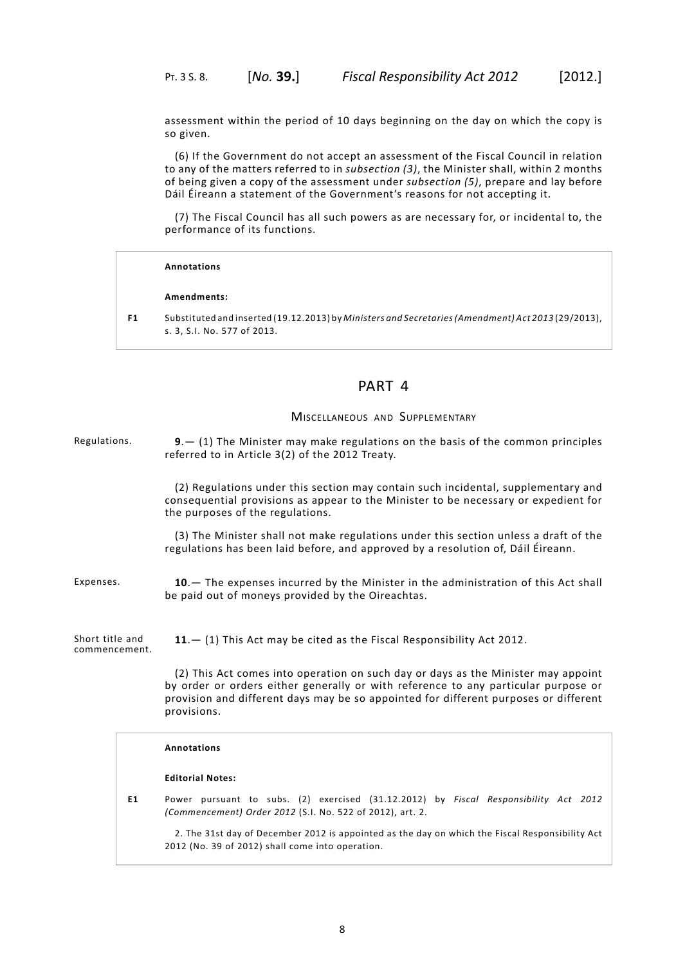assessment within the period of 10 days beginning on the day on which the copy is so given.

(6) If the Government do not accept an assessment of the Fiscal Council in relation to any of the matters referred to in *subsection (3)*, the Minister shall, within 2 months of being given a copy of the assessment under *subsection (5)*, prepare and lay before Dáil Éireann a statement of the Government's reasons for not accepting it.

(7) The Fiscal Council has all such powers as are necessary for, or incidental to, the performance of its functions.

#### **Annotations**

#### **Amendments:**

<span id="page-11-1"></span><span id="page-11-0"></span>**F1** Substituted and inserted (19.12.2013) by *Ministers and Secretaries(Amendment) Act 2013* (29/2013), s. 3, S.I. No. 577 of 2013.

# PART 4

# MISCELLANEOUS AND SUPPLEMENTARY

Regulations. **9**.— (1) The Minister may make regulations on the basis of the common principles referred to in Article 3(2) of the 2012 Treaty.

> (2) Regulations under this section may contain such incidental, supplementary and consequential provisions as appear to the Minister to be necessary or expedient for the purposes of the regulations.

> <span id="page-11-3"></span><span id="page-11-2"></span>(3) The Minister shall not make regulations under this section unless a draft of the regulations has been laid before, and approved by a resolution of, Dáil Éireann.

Expenses. **10**.— The expenses incurred by the Minister in the administration of this Act shall be paid out of moneys provided by the Oireachtas.

Short title and commencement. **11**.— (1) This Act may be cited as the Fiscal Responsibility Act 2012.

> (2) This Act comes into operation on such day or days as the Minister may appoint by order or orders either generally or with reference to any particular purpose or provision and different days may be so appointed for different purposes or different provisions.

#### **Annotations**

#### **Editorial Notes:**

**E1** Power pursuant to subs. (2) exercised (31.12.2012) by *Fiscal Responsibility Act 2012 (Commencement) Order 2012* (S.I. No. 522 of 2012), art. 2.

2. The 31st day of December 2012 is appointed as the day on which the Fiscal Responsibility Act 2012 (No. 39 of 2012) shall come into operation.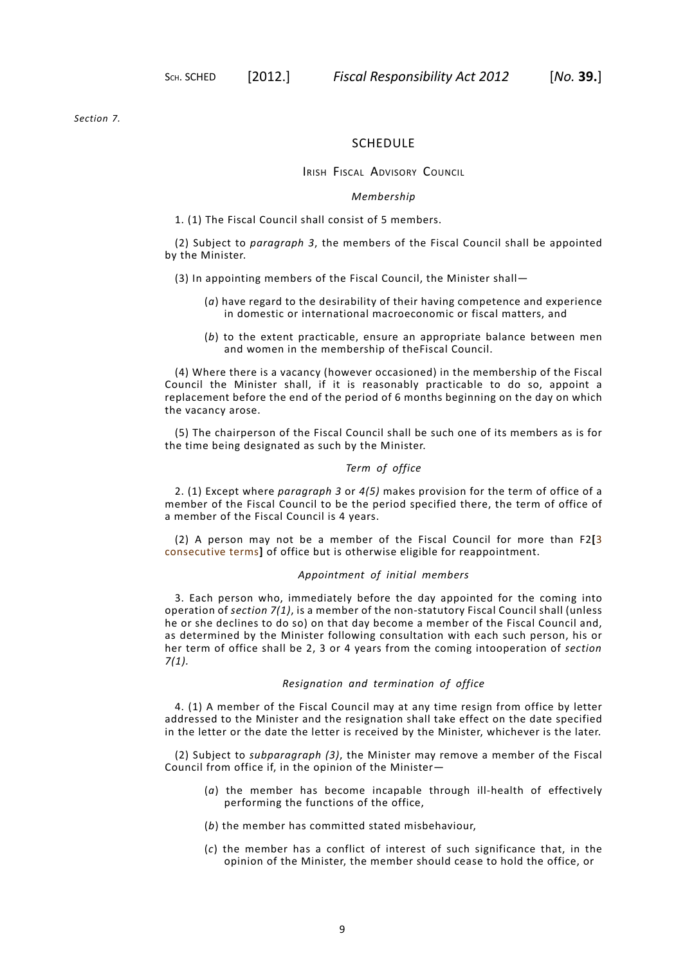<span id="page-12-0"></span>*[Section](#page-10-1) 7.*

## SCHEDULE

# IRISH FISCAL ADVISORY COUNCIL

## *Membership*

1. (1) The Fiscal Council shall consist of 5 members.

(2) Subject to *paragraph 3*, the members of the Fiscal Council shall be appointed by the Minister.

- (3) In appointing members of the Fiscal Council, the Minister shall—
	- (*a*) have regard to the desirability of their having competence and experience in domestic or international macroeconomic or fiscal matters, and
	- (*b*) to the extent practicable, ensure an appropriate balance between men and women in the membership of theFiscal Council.

(4) Where there is a vacancy (however occasioned) in the membership of the Fiscal Council the Minister shall, if it is reasonably practicable to do so, appoint a replacement before the end of the period of 6 months beginning on the day on which the vacancy arose.

(5) The chairperson of the Fiscal Council shall be such one of its members as is for the time being designated as such by the Minister.

## *Term of office*

2. (1) Except where *paragraph 3* or *4(5)* makes provision for the term of office of a member of the Fiscal Council to be the period specified there, the term of office of a member of the Fiscal Council is 4 years.

(2) A person may not be a member of the Fiscal Council for more than F2**[**3 consecutive terms**]** of office but is otherwise eligible for reappointment.

## *Appointment of initial members*

3. Each person who, immediately before the day appointed for the coming into operation of *[section](#page-10-1) 7(1)*, is a member of the non-statutory Fiscal Council shall (unless he or she declines to do so) on that day become a member of the Fiscal Council and, as determined by the Minister following consultation with each such person, his or her term of office shall be 2, 3 or 4 years from the coming intooperation of *[section](#page-10-1) [7\(](#page-10-1)1).*

### *Resignation and termination of office*

4. (1) A member of the Fiscal Council may at any time resign from office by letter addressed to the Minister and the resignation shall take effect on the date specified in the letter or the date the letter is received by the Minister, whichever is the later.

(2) Subject to *subparagraph (3)*, the Minister may remove a member of the Fiscal Council from office if, in the opinion of the Minister—

- (*a*) the member has become incapable through ill-health of effectively performing the functions of the office,
- (*b*) the member has committed stated misbehaviour,
- (*c*) the member has a conflict of interest of such significance that, in the opinion of the Minister, the member should cease to hold the office, or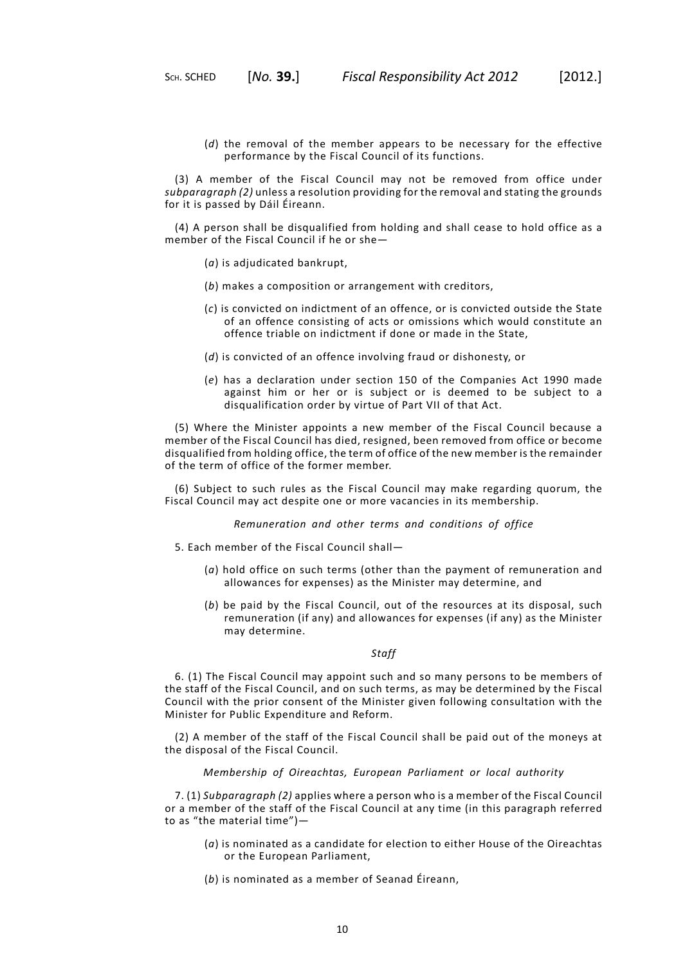(*d*) the removal of the member appears to be necessary for the effective performance by the Fiscal Council of its functions.

(3) A member of the Fiscal Council may not be removed from office under *subparagraph (2)* unless a resolution providing for the removal and stating the grounds for it is passed by Dáil Éireann.

(4) A person shall be disqualified from holding and shall cease to hold office as a member of the Fiscal Council if he or she—

- (*a*) is adjudicated bankrupt,
- (*b*) makes a composition or arrangement with creditors,
- (*c*) is convicted on indictment of an offence, or is convicted outside the State of an offence consisting of acts or omissions which would constitute an offence triable on indictment if done or made in the State,
- (*d*) is convicted of an offence involving fraud or dishonesty, or
- (*e*) has a declaration under section 150 of the Companies Act 1990 made against him or her or is subject or is deemed to be subject to a disqualification order by virtue of Part VII of that Act.

(5) Where the Minister appoints a new member of the Fiscal Council because a member of the Fiscal Council has died, resigned, been removed from office or become disqualified from holding office, the term of office of the new member is the remainder of the term of office of the former member.

(6) Subject to such rules as the Fiscal Council may make regarding quorum, the Fiscal Council may act despite one or more vacancies in its membership.

*Remuneration and other terms and conditions of office*

- 5. Each member of the Fiscal Council shall—
	- (*a*) hold office on such terms (other than the payment of remuneration and allowances for expenses) as the Minister may determine, and
	- (*b*) be paid by the Fiscal Council, out of the resources at its disposal, such remuneration (if any) and allowances for expenses (if any) as the Minister may determine.

## *Staff*

6. (1) The Fiscal Council may appoint such and so many persons to be members of the staff of the Fiscal Council, and on such terms, as may be determined by the Fiscal Council with the prior consent of the Minister given following consultation with the Minister for Public Expenditure and Reform.

(2) A member of the staff of the Fiscal Council shall be paid out of the moneys at the disposal of the Fiscal Council.

*Membership of Oireachtas, European Parliament or local authority*

7. (1) *Subparagraph (2)* applies where a person who is a member of the Fiscal Council or a member of the staff of the Fiscal Council at any time (in this paragraph referred to as "the material time")—

- (*a*) is nominated as a candidate for election to either House of the Oireachtas or the European Parliament,
- (*b*) is nominated as a member of Seanad Éireann,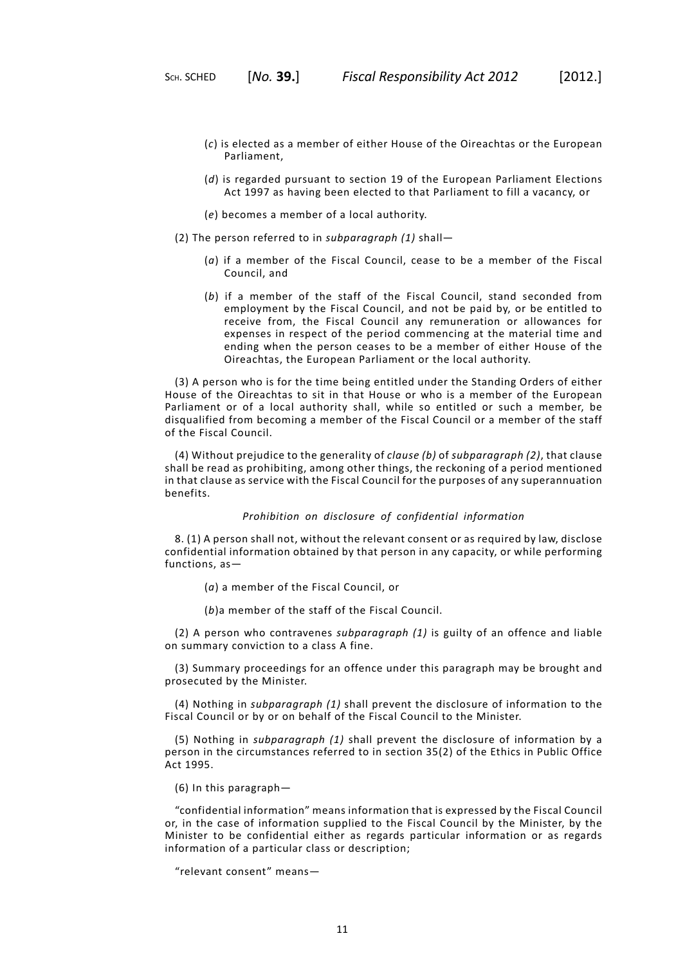- (*c*) is elected as a member of either House of the Oireachtas or the European Parliament,
- (*d*) is regarded pursuant to section 19 of the European Parliament Elections Act 1997 as having been elected to that Parliament to fill a vacancy, or
- (*e*) becomes a member of a local authority.
- (2) The person referred to in *subparagraph (1)* shall—
	- (*a*) if a member of the Fiscal Council, cease to be a member of the Fiscal Council, and
	- (*b*) if a member of the staff of the Fiscal Council, stand seconded from employment by the Fiscal Council, and not be paid by, or be entitled to receive from, the Fiscal Council any remuneration or allowances for expenses in respect of the period commencing at the material time and ending when the person ceases to be a member of either House of the Oireachtas, the European Parliament or the local authority.

(3) A person who is for the time being entitled under the Standing Orders of either House of the Oireachtas to sit in that House or who is a member of the European Parliament or of a local authority shall, while so entitled or such a member, be disqualified from becoming a member of the Fiscal Council or a member of the staff of the Fiscal Council.

(4) Without prejudice to the generality of *clause (b)* of *subparagraph (2)*, that clause shall be read as prohibiting, among other things, the reckoning of a period mentioned in that clause as service with the Fiscal Council for the purposes of any superannuation benefits.

## *Prohibition on disclosure of confidential information*

8. (1) A person shall not, without the relevant consent or as required by law, disclose confidential information obtained by that person in any capacity, or while performing functions, as—

(*a*) a member of the Fiscal Council, or

(*b*)a member of the staff of the Fiscal Council.

(2) A person who contravenes *subparagraph (1)* is guilty of an offence and liable on summary conviction to a class A fine.

(3) Summary proceedings for an offence under this paragraph may be brought and prosecuted by the Minister.

(4) Nothing in *subparagraph (1)* shall prevent the disclosure of information to the Fiscal Council or by or on behalf of the Fiscal Council to the Minister.

(5) Nothing in *subparagraph (1)* shall prevent the disclosure of information by a person in the circumstances referred to in section 35(2) of the Ethics in Public Office Act 1995.

(6) In this paragraph—

"confidential information" means information that is expressed by the Fiscal Council or, in the case of information supplied to the Fiscal Council by the Minister, by the Minister to be confidential either as regards particular information or as regards information of a particular class or description;

"relevant consent" means—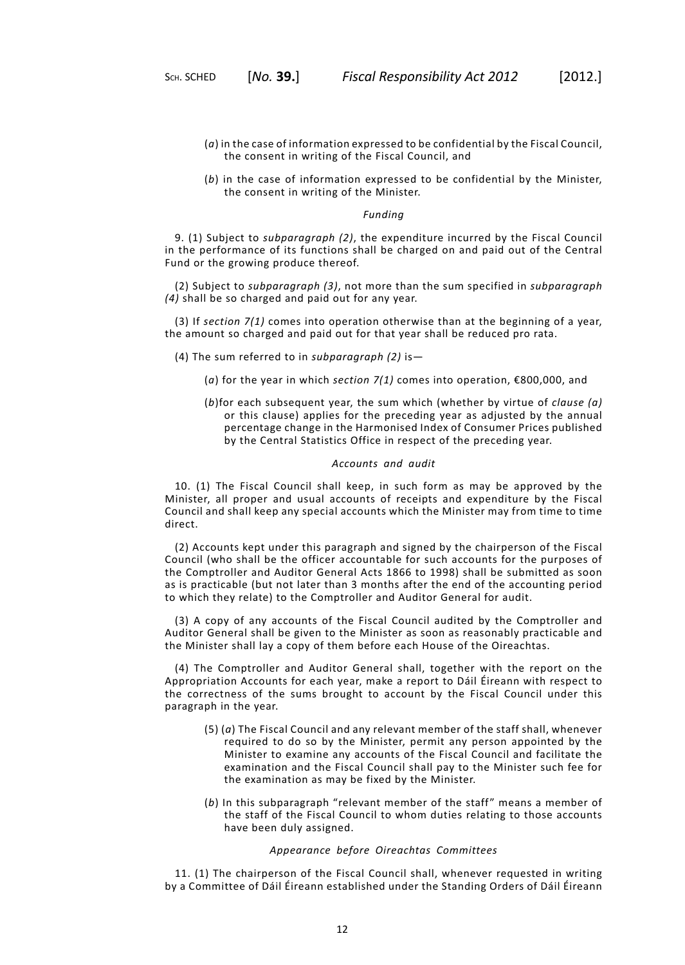- (*a*) in the case of information expressed to be confidential by the Fiscal Council, the consent in writing of the Fiscal Council, and
- (*b*) in the case of information expressed to be confidential by the Minister, the consent in writing of the Minister.

#### *Funding*

9. (1) Subject to *subparagraph (2)*, the expenditure incurred by the Fiscal Council in the performance of its functions shall be charged on and paid out of the Central Fund or the growing produce thereof.

(2) Subject to *subparagraph (3)*, not more than the sum specified in *subparagraph (4)* shall be so charged and paid out for any year.

(3) If *[section](#page-10-1) 7(1)* comes into operation otherwise than at the beginning of a year, the amount so charged and paid out for that year shall be reduced pro rata.

- (4) The sum referred to in *subparagraph (2)* is—
	- (*a*) for the year in which *[section](#page-10-1) 7(1)* comes into operation, €800,000, and
	- (*b*)for each subsequent year, the sum which (whether by virtue of *clause (a)* or this clause) applies for the preceding year as adjusted by the annual percentage change in the Harmonised Index of Consumer Prices published by the Central Statistics Office in respect of the preceding year.

## *Accounts and audit*

10. (1) The Fiscal Council shall keep, in such form as may be approved by the Minister, all proper and usual accounts of receipts and expenditure by the Fiscal Council and shall keep any special accounts which the Minister may from time to time direct.

(2) Accounts kept under this paragraph and signed by the chairperson of the Fiscal Council (who shall be the officer accountable for such accounts for the purposes of the Comptroller and Auditor General Acts 1866 to 1998) shall be submitted as soon as is practicable (but not later than 3 months after the end of the accounting period to which they relate) to the Comptroller and Auditor General for audit.

(3) A copy of any accounts of the Fiscal Council audited by the Comptroller and Auditor General shall be given to the Minister as soon as reasonably practicable and the Minister shall lay a copy of them before each House of the Oireachtas.

(4) The Comptroller and Auditor General shall, together with the report on the Appropriation Accounts for each year, make a report to Dáil Éireann with respect to the correctness of the sums brought to account by the Fiscal Council under this paragraph in the year.

- (5) (*a*) The Fiscal Council and any relevant member of the staff shall, whenever required to do so by the Minister, permit any person appointed by the Minister to examine any accounts of the Fiscal Council and facilitate the examination and the Fiscal Council shall pay to the Minister such fee for the examination as may be fixed by the Minister.
- (*b*) In this subparagraph "relevant member of the staff" means a member of the staff of the Fiscal Council to whom duties relating to those accounts have been duly assigned.

## *Appearance before Oireachtas Committees*

11. (1) The chairperson of the Fiscal Council shall, whenever requested in writing by a Committee of Dáil Éireann established under the Standing Orders of Dáil Éireann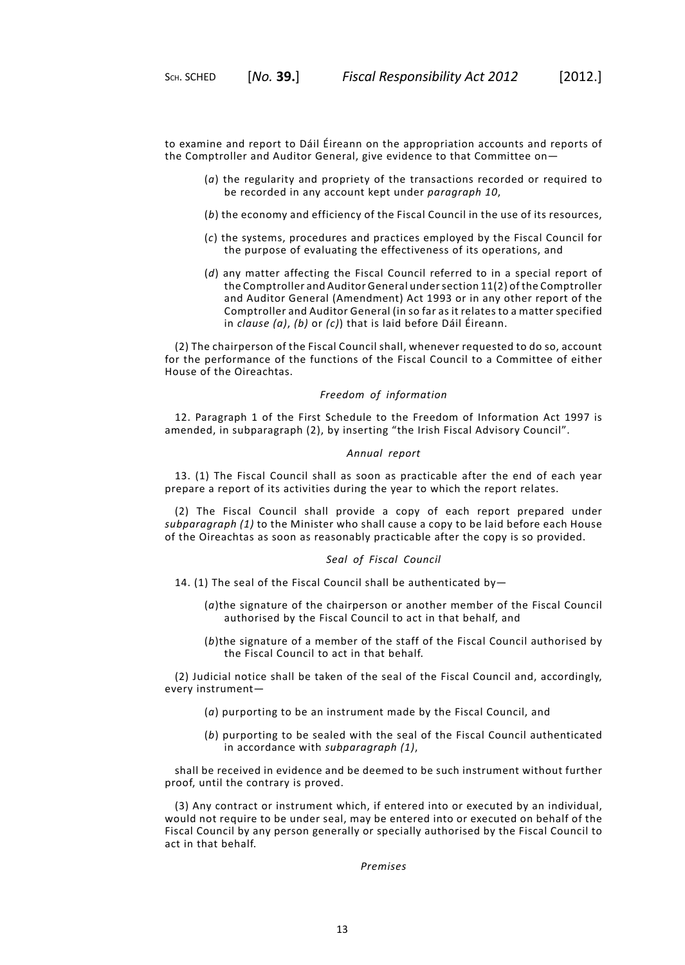to examine and report to Dáil Éireann on the appropriation accounts and reports of the Comptroller and Auditor General, give evidence to that Committee on—

- (*a*) the regularity and propriety of the transactions recorded or required to be recorded in any account kept under *paragraph 10*,
- (*b*) the economy and efficiency of the Fiscal Council in the use of its resources,
- (*c*) the systems, procedures and practices employed by the Fiscal Council for the purpose of evaluating the effectiveness of its operations, and
- (*d*) any matter affecting the Fiscal Council referred to in a special report of the Comptroller and Auditor General undersection 11(2) of the Comptroller and Auditor General (Amendment) Act 1993 or in any other report of the Comptroller and Auditor General (in so far as it relates to a matter specified in *clause (a)*, *(b)* or *(c)*) that is laid before Dáil Éireann.

(2) The chairperson of the Fiscal Council shall, whenever requested to do so, account for the performance of the functions of the Fiscal Council to a Committee of either House of the Oireachtas.

## *Freedom of information*

12. Paragraph 1 of the First Schedule to the Freedom of Information Act 1997 is amended, in subparagraph (2), by inserting "the Irish Fiscal Advisory Council".

#### *Annual report*

13. (1) The Fiscal Council shall as soon as practicable after the end of each year prepare a report of its activities during the year to which the report relates.

(2) The Fiscal Council shall provide a copy of each report prepared under *subparagraph (1)* to the Minister who shall cause a copy to be laid before each House of the Oireachtas as soon as reasonably practicable after the copy is so provided.

#### *Seal of Fiscal Council*

- 14. (1) The seal of the Fiscal Council shall be authenticated by—
	- (*a*)the signature of the chairperson or another member of the Fiscal Council authorised by the Fiscal Council to act in that behalf, and
	- (*b*)the signature of a member of the staff of the Fiscal Council authorised by the Fiscal Council to act in that behalf.

(2) Judicial notice shall be taken of the seal of the Fiscal Council and, accordingly, every instrument—

- (*a*) purporting to be an instrument made by the Fiscal Council, and
- (*b*) purporting to be sealed with the seal of the Fiscal Council authenticated in accordance with *subparagraph (1)*,

shall be received in evidence and be deemed to be such instrument without further proof, until the contrary is proved.

(3) Any contract or instrument which, if entered into or executed by an individual, would not require to be under seal, may be entered into or executed on behalf of the Fiscal Council by any person generally or specially authorised by the Fiscal Council to act in that behalf.

*Premises*